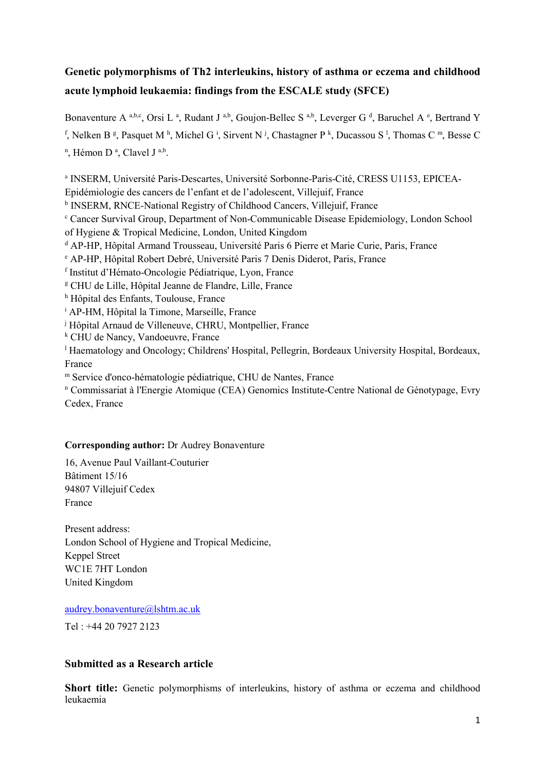# **Genetic polymorphisms of Th2 interleukins, history of asthma or eczema and childhood acute lymphoid leukaemia: findings from the ESCALE study (SFCE)**

Bonaventure A <sup>a,b,c</sup>, Orsi L<sup>a</sup>, Rudant J<sup>a,b</sup>, Goujon-Bellec S<sup>a,b</sup>, Leverger G<sup>d</sup>, Baruchel A<sup>e</sup>, Bertrand Y <sup>f</sup>, Nelken B<sup>g</sup>, Pasquet M<sup>h</sup>, Michel G<sup>i</sup>, Sirvent N<sup>j</sup>, Chastagner P<sup>k</sup>, Ducassou S<sup>1</sup>, Thomas C<sup>m</sup>, Besse C <sup>n</sup>, Hémon D<sup>a</sup>, Clavel J<sup>a,b</sup>.

a INSERM, Université Paris-Descartes, Université Sorbonne-Paris-Cité, CRESS U1153, EPICEA-Epidémiologie des cancers de l'enfant et de l'adolescent, Villejuif, France <sup>b</sup> INSERM, RNCE-National Registry of Childhood Cancers, Villejuif, France <sup>c</sup> Cancer Survival Group, Department of Non-Communicable Disease Epidemiology, London School of Hygiene & Tropical Medicine, London, United Kingdom <sup>d</sup> AP-HP, Hôpital Armand Trousseau, Université Paris 6 Pierre et Marie Curie, Paris, France e AP-HP, Hôpital Robert Debré, Université Paris 7 Denis Diderot, Paris, France f Institut d'Hémato-Oncologie Pédiatrique, Lyon, France <sup>g</sup> CHU de Lille, Hôpital Jeanne de Flandre, Lille, France h Hôpital des Enfants, Toulouse, France i AP-HM, Hôpital la Timone, Marseille, France j Hôpital Arnaud de Villeneuve, CHRU, Montpellier, France k CHU de Nancy, Vandoeuvre, France <sup>1</sup> Haematology and Oncology; Childrens' Hospital, Pellegrin, Bordeaux University Hospital, Bordeaux, France <sup>m</sup> Service d'onco-hématologie pédiatrique, CHU de Nantes, France n Commissariat à l'Energie Atomique (CEA) Genomics Institute-Centre National de Génotypage, Evry Cedex, France

# **Corresponding author:** Dr Audrey Bonaventure

16, Avenue Paul Vaillant-Couturier Bâtiment 15/16 94807 Villejuif Cedex France

Present address: London School of Hygiene and Tropical Medicine, Keppel Street WC1E 7HT London United Kingdom

audrey.bonaventure@lshtm.ac.uk

Tel : +44 20 7927 2123

# **Submitted as a Research article**

**Short title:** Genetic polymorphisms of interleukins, history of asthma or eczema and childhood leukaemia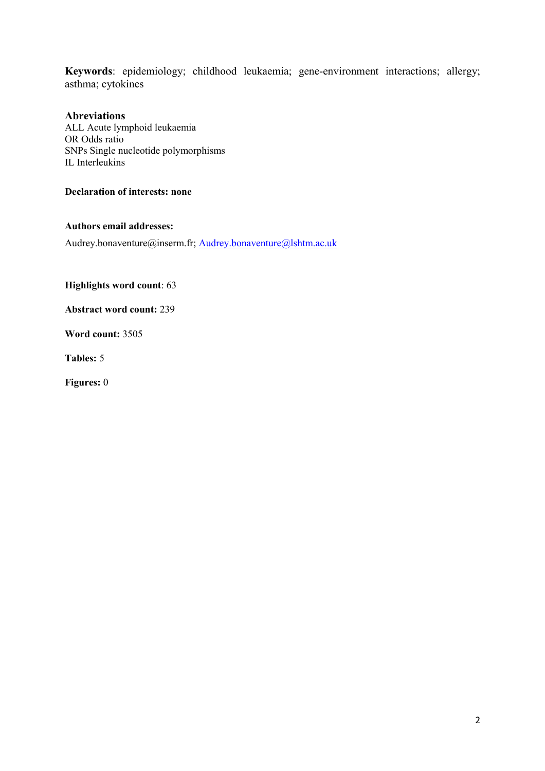**Keywords**: epidemiology; childhood leukaemia; gene-environment interactions; allergy; asthma; cytokines

# **Abreviations**

ALL Acute lymphoid leukaemia OR Odds ratio SNPs Single nucleotide polymorphisms IL Interleukins

**Declaration of interests: none** 

**Authors email addresses:** 

Audrey.bonaventure@inserm.fr; Audrey.bonaventure@lshtm.ac.uk

**Highlights word count**: 63

**Abstract word count:** 239

**Word count:** 3505

**Tables:** 5

**Figures:** 0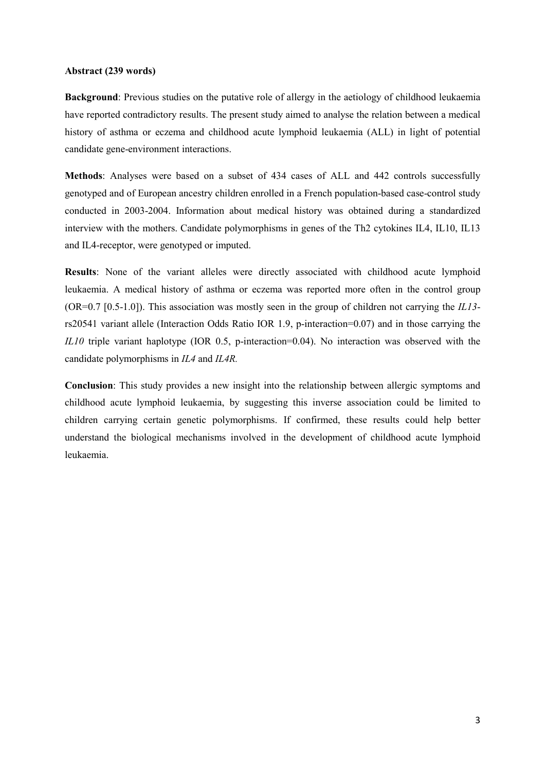#### **Abstract (239 words)**

**Background**: Previous studies on the putative role of allergy in the aetiology of childhood leukaemia have reported contradictory results. The present study aimed to analyse the relation between a medical history of asthma or eczema and childhood acute lymphoid leukaemia (ALL) in light of potential candidate gene-environment interactions.

**Methods**: Analyses were based on a subset of 434 cases of ALL and 442 controls successfully genotyped and of European ancestry children enrolled in a French population-based case-control study conducted in 2003-2004. Information about medical history was obtained during a standardized interview with the mothers. Candidate polymorphisms in genes of the Th2 cytokines IL4, IL10, IL13 and IL4-receptor, were genotyped or imputed.

**Results**: None of the variant alleles were directly associated with childhood acute lymphoid leukaemia. A medical history of asthma or eczema was reported more often in the control group (OR=0.7 [0.5-1.0]). This association was mostly seen in the group of children not carrying the *IL13* rs20541 variant allele (Interaction Odds Ratio IOR 1.9, p-interaction=0.07) and in those carrying the *IL10* triple variant haplotype (IOR 0.5, p-interaction=0.04). No interaction was observed with the candidate polymorphisms in *IL4* and *IL4R.*

**Conclusion**: This study provides a new insight into the relationship between allergic symptoms and childhood acute lymphoid leukaemia, by suggesting this inverse association could be limited to children carrying certain genetic polymorphisms. If confirmed, these results could help better understand the biological mechanisms involved in the development of childhood acute lymphoid leukaemia.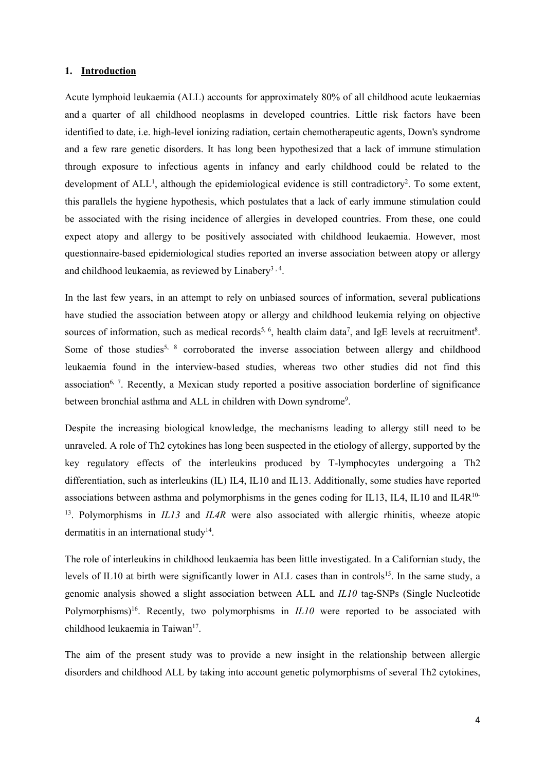# **1. Introduction**

Acute lymphoid leukaemia (ALL) accounts for approximately 80% of all childhood acute leukaemias and a quarter of all childhood neoplasms in developed countries. Little risk factors have been identified to date, i.e. high-level ionizing radiation, certain chemotherapeutic agents, Down's syndrome and a few rare genetic disorders. It has long been hypothesized that a lack of immune stimulation through exposure to infectious agents in infancy and early childhood could be related to the development of  $ALL<sup>1</sup>$ , although the epidemiological evidence is still contradictory<sup>2</sup>. To some extent, this parallels the hygiene hypothesis, which postulates that a lack of early immune stimulation could be associated with the rising incidence of allergies in developed countries. From these, one could expect atopy and allergy to be positively associated with childhood leukaemia. However, most questionnaire-based epidemiological studies reported an inverse association between atopy or allergy and childhood leukaemia, as reviewed by Linabery<sup>3,4</sup>.

In the last few years, in an attempt to rely on unbiased sources of information, several publications have studied the association between atopy or allergy and childhood leukemia relying on objective sources of information, such as medical records<sup>5, 6</sup>, health claim data<sup>7</sup>, and IgE levels at recruitment<sup>8</sup>. Some of those studies<sup>5, 8</sup> corroborated the inverse association between allergy and childhood leukaemia found in the interview-based studies, whereas two other studies did not find this association<sup>6, 7</sup>. Recently, a Mexican study reported a positive association borderline of significance between bronchial asthma and ALL in children with Down syndrome<sup>9</sup>.

Despite the increasing biological knowledge, the mechanisms leading to allergy still need to be unraveled. A role of Th2 cytokines has long been suspected in the etiology of allergy, supported by the key regulatory effects of the interleukins produced by T-lymphocytes undergoing a Th2 differentiation, such as interleukins (IL) IL4, IL10 and IL13. Additionally, some studies have reported associations between asthma and polymorphisms in the genes coding for IL13, IL4, IL10 and IL4R10- <sup>13</sup>. Polymorphisms in *IL13* and *IL4R* were also associated with allergic rhinitis, wheeze atopic dermatitis in an international study<sup>14</sup>.

The role of interleukins in childhood leukaemia has been little investigated. In a Californian study, the levels of IL10 at birth were significantly lower in ALL cases than in controls<sup>15</sup>. In the same study, a genomic analysis showed a slight association between ALL and *IL10* tag-SNPs (Single Nucleotide Polymorphisms)<sup>16</sup>. Recently, two polymorphisms in *IL10* were reported to be associated with childhood leukaemia in Taiwan<sup>17</sup>.

The aim of the present study was to provide a new insight in the relationship between allergic disorders and childhood ALL by taking into account genetic polymorphisms of several Th2 cytokines,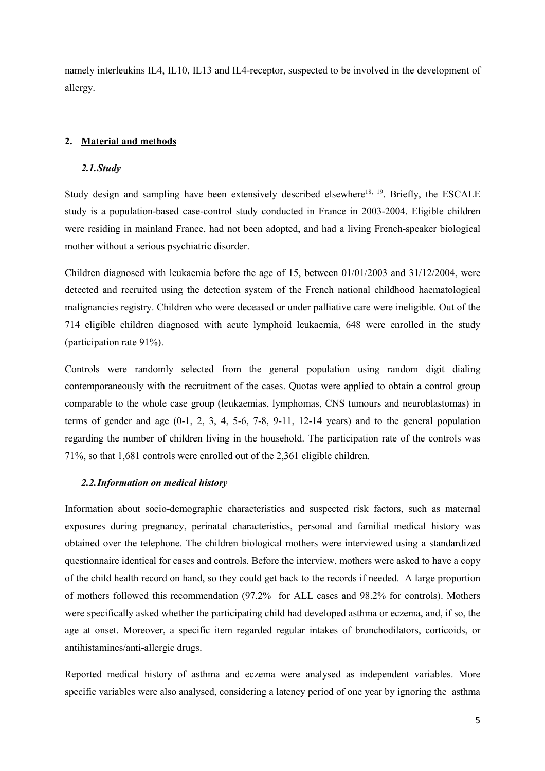namely interleukins IL4, IL10, IL13 and IL4-receptor, suspected to be involved in the development of allergy.

## **2. Material and methods**

#### *2.1.Study*

Study design and sampling have been extensively described elsewhere<sup>18, 19</sup>. Briefly, the ESCALE study is a population-based case-control study conducted in France in 2003-2004. Eligible children were residing in mainland France, had not been adopted, and had a living French-speaker biological mother without a serious psychiatric disorder.

Children diagnosed with leukaemia before the age of 15, between 01/01/2003 and 31/12/2004, were detected and recruited using the detection system of the French national childhood haematological malignancies registry. Children who were deceased or under palliative care were ineligible. Out of the 714 eligible children diagnosed with acute lymphoid leukaemia, 648 were enrolled in the study (participation rate 91%).

Controls were randomly selected from the general population using random digit dialing contemporaneously with the recruitment of the cases. Quotas were applied to obtain a control group comparable to the whole case group (leukaemias, lymphomas, CNS tumours and neuroblastomas) in terms of gender and age  $(0-1, 2, 3, 4, 5-6, 7-8, 9-11, 12-14$  years) and to the general population regarding the number of children living in the household. The participation rate of the controls was 71%, so that 1,681 controls were enrolled out of the 2,361 eligible children.

#### *2.2.Information on medical history*

Information about socio-demographic characteristics and suspected risk factors, such as maternal exposures during pregnancy, perinatal characteristics, personal and familial medical history was obtained over the telephone. The children biological mothers were interviewed using a standardized questionnaire identical for cases and controls. Before the interview, mothers were asked to have a copy of the child health record on hand, so they could get back to the records if needed. A large proportion of mothers followed this recommendation (97.2% for ALL cases and 98.2% for controls). Mothers were specifically asked whether the participating child had developed asthma or eczema, and, if so, the age at onset. Moreover, a specific item regarded regular intakes of bronchodilators, corticoids, or antihistamines/anti-allergic drugs.

Reported medical history of asthma and eczema were analysed as independent variables. More specific variables were also analysed, considering a latency period of one year by ignoring the asthma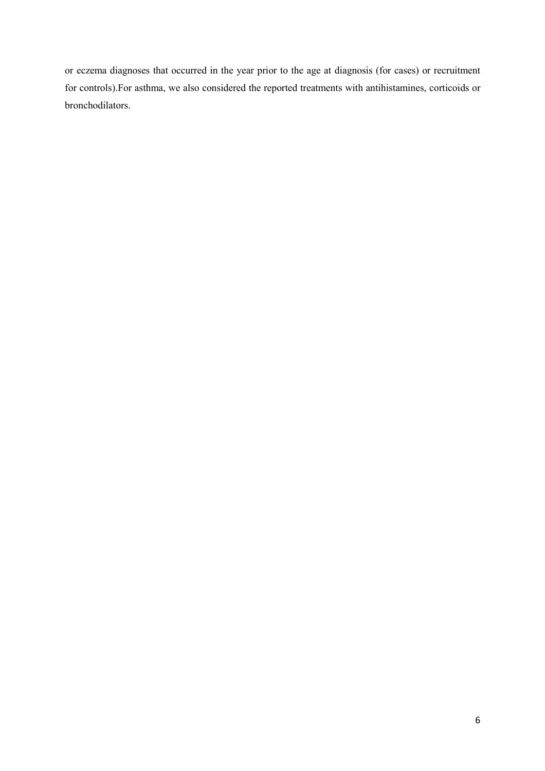or eczema diagnoses that occurred in the year prior to the age at diagnosis (for cases) or recruitment for controls).For asthma, we also considered the reported treatments with antihistamines, corticoids or bronchodilators.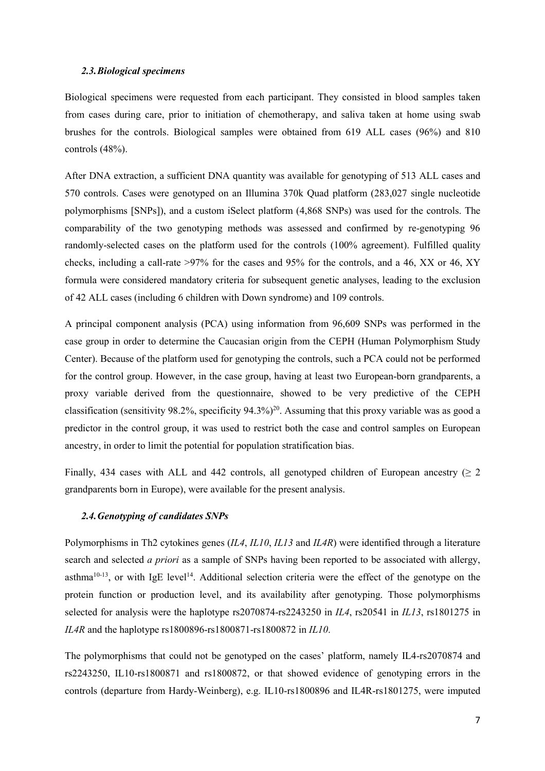#### *2.3.Biological specimens*

Biological specimens were requested from each participant. They consisted in blood samples taken from cases during care, prior to initiation of chemotherapy, and saliva taken at home using swab brushes for the controls. Biological samples were obtained from 619 ALL cases (96%) and 810 controls (48%).

After DNA extraction, a sufficient DNA quantity was available for genotyping of 513 ALL cases and 570 controls. Cases were genotyped on an Illumina 370k Quad platform (283,027 single nucleotide polymorphisms [SNPs]), and a custom iSelect platform (4,868 SNPs) was used for the controls. The comparability of the two genotyping methods was assessed and confirmed by re-genotyping 96 randomly-selected cases on the platform used for the controls (100% agreement). Fulfilled quality checks, including a call-rate >97% for the cases and 95% for the controls, and a 46, XX or 46, XY formula were considered mandatory criteria for subsequent genetic analyses, leading to the exclusion of 42 ALL cases (including 6 children with Down syndrome) and 109 controls.

A principal component analysis (PCA) using information from 96,609 SNPs was performed in the case group in order to determine the Caucasian origin from the CEPH (Human Polymorphism Study Center). Because of the platform used for genotyping the controls, such a PCA could not be performed for the control group. However, in the case group, having at least two European-born grandparents, a proxy variable derived from the questionnaire, showed to be very predictive of the CEPH classification (sensitivity 98.2%, specificity 94.3%)<sup>20</sup>. Assuming that this proxy variable was as good a predictor in the control group, it was used to restrict both the case and control samples on European ancestry, in order to limit the potential for population stratification bias.

Finally, 434 cases with ALL and 442 controls, all genotyped children of European ancestry ( $\geq 2$ ) grandparents born in Europe), were available for the present analysis.

# *2.4.Genotyping of candidates SNPs*

Polymorphisms in Th2 cytokines genes (*IL4*, *IL10*, *IL13* and *IL4R*) were identified through a literature search and selected *a priori* as a sample of SNPs having been reported to be associated with allergy, asthma<sup>10-13</sup>, or with IgE level<sup>14</sup>. Additional selection criteria were the effect of the genotype on the protein function or production level, and its availability after genotyping. Those polymorphisms selected for analysis were the haplotype rs2070874-rs2243250 in *IL4*, rs20541 in *IL13*, rs1801275 in *IL4R* and the haplotype rs1800896-rs1800871-rs1800872 in *IL10*.

The polymorphisms that could not be genotyped on the cases' platform, namely IL4-rs2070874 and rs2243250, IL10-rs1800871 and rs1800872, or that showed evidence of genotyping errors in the controls (departure from Hardy-Weinberg), e.g. IL10-rs1800896 and IL4R-rs1801275, were imputed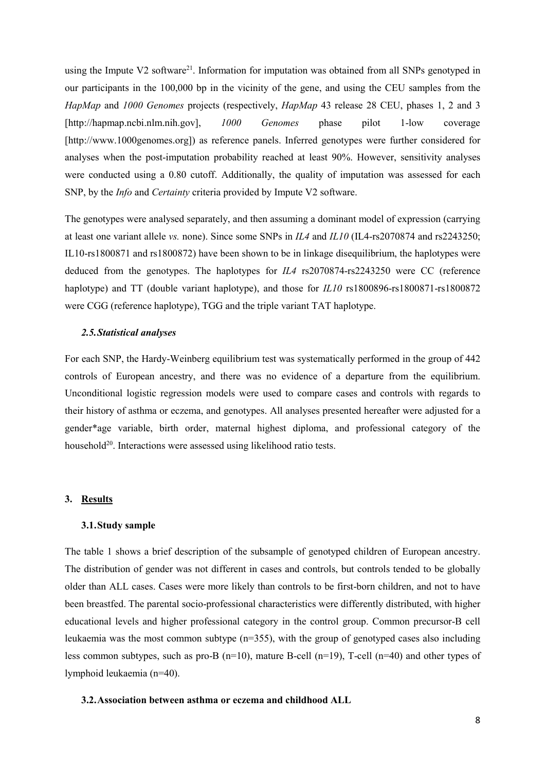using the Impute V2 software<sup>21</sup>. Information for imputation was obtained from all SNPs genotyped in our participants in the 100,000 bp in the vicinity of the gene, and using the CEU samples from the *HapMap* and *1000 Genomes* projects (respectively, *HapMap* 43 release 28 CEU, phases 1, 2 and 3 [http://hapmap.ncbi.nlm.nih.gov], *1000 Genomes* phase pilot 1-low coverage [http://www.1000genomes.org]) as reference panels. Inferred genotypes were further considered for analyses when the post-imputation probability reached at least 90%. However, sensitivity analyses were conducted using a 0.80 cutoff. Additionally, the quality of imputation was assessed for each SNP, by the *Info* and *Certainty* criteria provided by Impute V2 software.

The genotypes were analysed separately, and then assuming a dominant model of expression (carrying at least one variant allele *vs.* none). Since some SNPs in *IL4* and *IL10* (IL4-rs2070874 and rs2243250; IL10-rs1800871 and rs1800872) have been shown to be in linkage disequilibrium, the haplotypes were deduced from the genotypes. The haplotypes for *IL4* rs2070874-rs2243250 were CC (reference haplotype) and TT (double variant haplotype), and those for *IL10* rs1800896-rs1800871-rs1800872 were CGG (reference haplotype), TGG and the triple variant TAT haplotype.

#### *2.5.Statistical analyses*

For each SNP, the Hardy-Weinberg equilibrium test was systematically performed in the group of 442 controls of European ancestry, and there was no evidence of a departure from the equilibrium. Unconditional logistic regression models were used to compare cases and controls with regards to their history of asthma or eczema, and genotypes. All analyses presented hereafter were adjusted for a gender\*age variable, birth order, maternal highest diploma, and professional category of the household<sup>20</sup>. Interactions were assessed using likelihood ratio tests.

#### **3. Results**

## **3.1.Study sample**

The table 1 shows a brief description of the subsample of genotyped children of European ancestry. The distribution of gender was not different in cases and controls, but controls tended to be globally older than ALL cases. Cases were more likely than controls to be first-born children, and not to have been breastfed. The parental socio-professional characteristics were differently distributed, with higher educational levels and higher professional category in the control group. Common precursor-B cell leukaemia was the most common subtype  $(n=355)$ , with the group of genotyped cases also including less common subtypes, such as pro-B (n=10), mature B-cell (n=19), T-cell (n=40) and other types of lymphoid leukaemia (n=40).

# **3.2.Association between asthma or eczema and childhood ALL**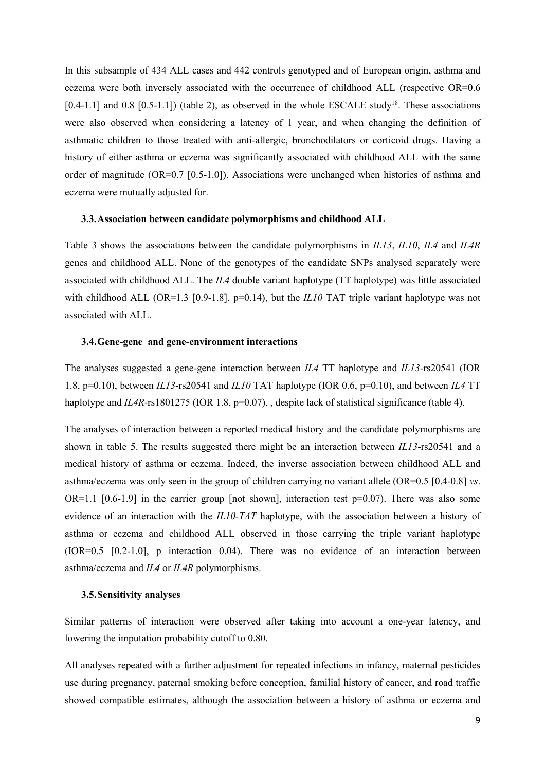In this subsample of 434 ALL cases and 442 controls genotyped and of European origin, asthma and eczema were both inversely associated with the occurrence of childhood ALL (respective OR=0.6  $[0.4-1.1]$  and 0.8  $[0.5-1.1]$ ) (table 2), as observed in the whole ESCALE study<sup>18</sup>. These associations were also observed when considering a latency of 1 year, and when changing the definition of asthmatic children to those treated with anti-allergic, bronchodilators or corticoid drugs. Having a history of either asthma or eczema was significantly associated with childhood ALL with the same order of magnitude (OR=0.7 [0.5-1.0]). Associations were unchanged when histories of asthma and eczema were mutually adjusted for.

## **3.3.Association between candidate polymorphisms and childhood ALL**

Table 3 shows the associations between the candidate polymorphisms in *IL13*, *IL10*, *IL4* and *IL4R* genes and childhood ALL. None of the genotypes of the candidate SNPs analysed separately were associated with childhood ALL. The *IL4* double variant haplotype (TT haplotype) was little associated with childhood ALL (OR=1.3 [0.9-1.8], p=0.14), but the *IL10* TAT triple variant haplotype was not associated with ALL.

#### **3.4.Gene-gene and gene-environment interactions**

The analyses suggested a gene-gene interaction between *IL4* TT haplotype and *IL13*-rs20541 (IOR 1.8, p=0.10), between *IL13*-rs20541 and *IL10* TAT haplotype (IOR 0.6, p=0.10), and between *IL4* TT haplotype and *IL4R*-rs1801275 (IOR 1.8, p=0.07), , despite lack of statistical significance (table 4).

The analyses of interaction between a reported medical history and the candidate polymorphisms are shown in table 5. The results suggested there might be an interaction between *IL13*-rs20541 and a medical history of asthma or eczema. Indeed, the inverse association between childhood ALL and asthma/eczema was only seen in the group of children carrying no variant allele (OR=0.5 [0.4-0.8] *vs*. OR=1.1 [0.6-1.9] in the carrier group [not shown], interaction test  $p=0.07$ ). There was also some evidence of an interaction with the *IL10-TAT* haplotype, with the association between a history of asthma or eczema and childhood ALL observed in those carrying the triple variant haplotype (IOR=0.5 [0.2-1.0], p interaction 0.04). There was no evidence of an interaction between asthma/eczema and *IL4* or *IL4R* polymorphisms.

#### **3.5.Sensitivity analyses**

Similar patterns of interaction were observed after taking into account a one-year latency, and lowering the imputation probability cutoff to 0.80.

All analyses repeated with a further adjustment for repeated infections in infancy, maternal pesticides use during pregnancy, paternal smoking before conception, familial history of cancer, and road traffic showed compatible estimates, although the association between a history of asthma or eczema and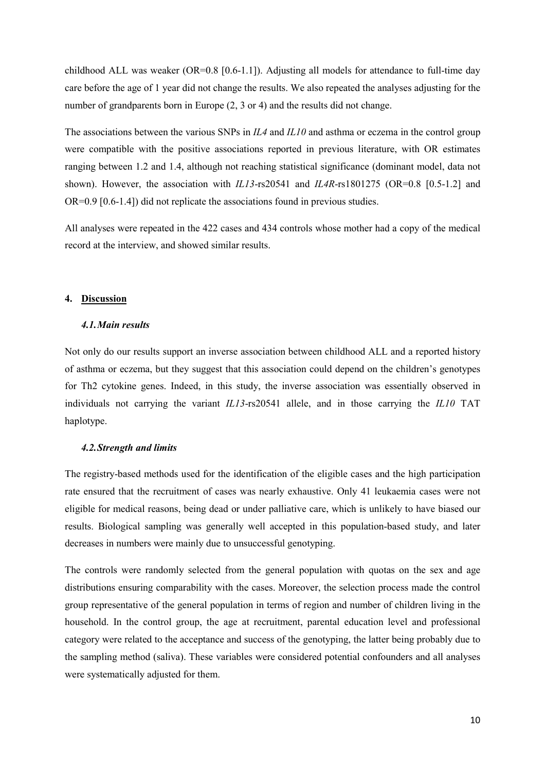childhood ALL was weaker (OR=0.8 [0.6-1.1]). Adjusting all models for attendance to full-time day care before the age of 1 year did not change the results. We also repeated the analyses adjusting for the number of grandparents born in Europe (2, 3 or 4) and the results did not change.

The associations between the various SNPs in *IL4* and *IL10* and asthma or eczema in the control group were compatible with the positive associations reported in previous literature, with OR estimates ranging between 1.2 and 1.4, although not reaching statistical significance (dominant model, data not shown). However, the association with *IL13*-rs20541 and *IL4R*-rs1801275 (OR=0.8 [0.5-1.2] and OR=0.9 [0.6-1.4]) did not replicate the associations found in previous studies.

All analyses were repeated in the 422 cases and 434 controls whose mother had a copy of the medical record at the interview, and showed similar results.

# **4. Discussion**

## *4.1.Main results*

Not only do our results support an inverse association between childhood ALL and a reported history of asthma or eczema, but they suggest that this association could depend on the children's genotypes for Th2 cytokine genes. Indeed, in this study, the inverse association was essentially observed in individuals not carrying the variant *IL13*-rs20541 allele, and in those carrying the *IL10* TAT haplotype.

## *4.2.Strength and limits*

The registry-based methods used for the identification of the eligible cases and the high participation rate ensured that the recruitment of cases was nearly exhaustive. Only 41 leukaemia cases were not eligible for medical reasons, being dead or under palliative care, which is unlikely to have biased our results. Biological sampling was generally well accepted in this population-based study, and later decreases in numbers were mainly due to unsuccessful genotyping.

The controls were randomly selected from the general population with quotas on the sex and age distributions ensuring comparability with the cases. Moreover, the selection process made the control group representative of the general population in terms of region and number of children living in the household. In the control group, the age at recruitment, parental education level and professional category were related to the acceptance and success of the genotyping, the latter being probably due to the sampling method (saliva). These variables were considered potential confounders and all analyses were systematically adjusted for them.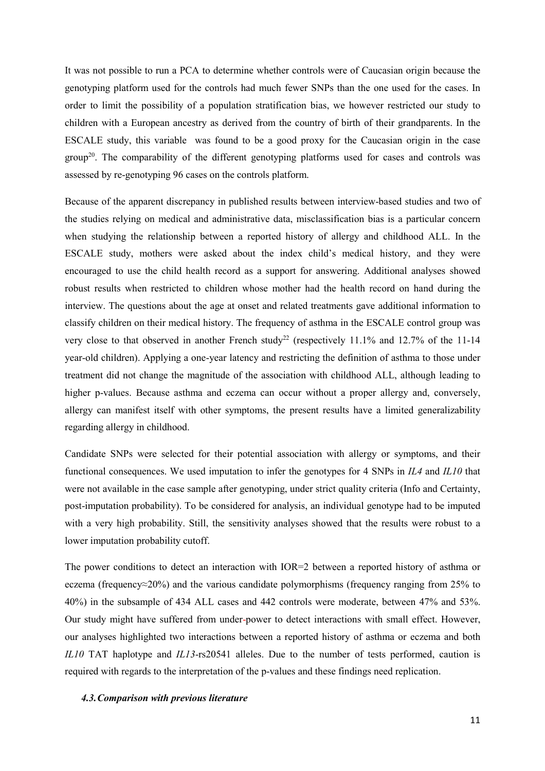It was not possible to run a PCA to determine whether controls were of Caucasian origin because the genotyping platform used for the controls had much fewer SNPs than the one used for the cases. In order to limit the possibility of a population stratification bias, we however restricted our study to children with a European ancestry as derived from the country of birth of their grandparents. In the ESCALE study, this variable was found to be a good proxy for the Caucasian origin in the case group<sup>20</sup>. The comparability of the different genotyping platforms used for cases and controls was assessed by re-genotyping 96 cases on the controls platform.

Because of the apparent discrepancy in published results between interview-based studies and two of the studies relying on medical and administrative data, misclassification bias is a particular concern when studying the relationship between a reported history of allergy and childhood ALL. In the ESCALE study, mothers were asked about the index child's medical history, and they were encouraged to use the child health record as a support for answering. Additional analyses showed robust results when restricted to children whose mother had the health record on hand during the interview. The questions about the age at onset and related treatments gave additional information to classify children on their medical history. The frequency of asthma in the ESCALE control group was very close to that observed in another French study<sup>22</sup> (respectively 11.1% and 12.7% of the 11-14 year-old children). Applying a one-year latency and restricting the definition of asthma to those under treatment did not change the magnitude of the association with childhood ALL, although leading to higher p-values. Because asthma and eczema can occur without a proper allergy and, conversely, allergy can manifest itself with other symptoms, the present results have a limited generalizability regarding allergy in childhood.

Candidate SNPs were selected for their potential association with allergy or symptoms, and their functional consequences. We used imputation to infer the genotypes for 4 SNPs in *IL4* and *IL10* that were not available in the case sample after genotyping, under strict quality criteria (Info and Certainty, post-imputation probability). To be considered for analysis, an individual genotype had to be imputed with a very high probability. Still, the sensitivity analyses showed that the results were robust to a lower imputation probability cutoff.

The power conditions to detect an interaction with IOR=2 between a reported history of asthma or eczema (frequency≈20%) and the various candidate polymorphisms (frequency ranging from 25% to 40%) in the subsample of 434 ALL cases and 442 controls were moderate, between 47% and 53%. Our study might have suffered from under-power to detect interactions with small effect. However, our analyses highlighted two interactions between a reported history of asthma or eczema and both *IL10* TAT haplotype and *IL13*-rs20541 alleles. Due to the number of tests performed, caution is required with regards to the interpretation of the p-values and these findings need replication.

#### *4.3.Comparison with previous literature*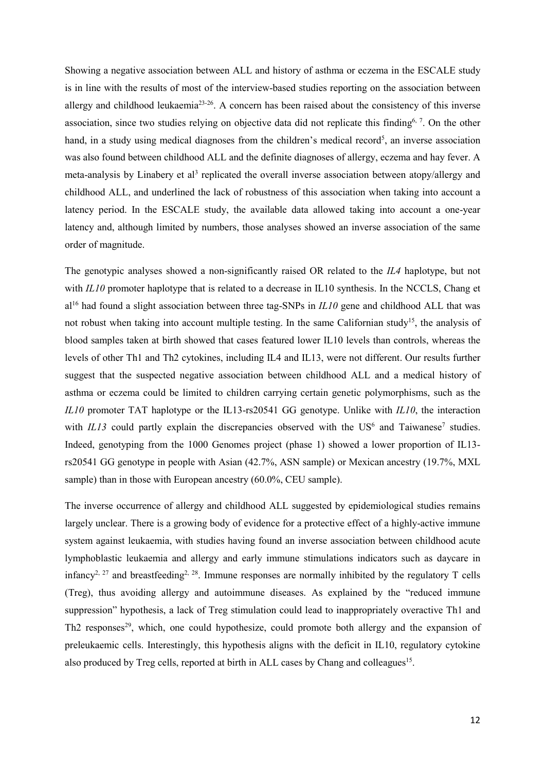Showing a negative association between ALL and history of asthma or eczema in the ESCALE study is in line with the results of most of the interview-based studies reporting on the association between allergy and childhood leukaemia<sup>23-26</sup>. A concern has been raised about the consistency of this inverse association, since two studies relying on objective data did not replicate this finding6, 7. On the other hand, in a study using medical diagnoses from the children's medical record<sup>5</sup>, an inverse association was also found between childhood ALL and the definite diagnoses of allergy, eczema and hay fever. A meta-analysis by Linabery et al<sup>3</sup> replicated the overall inverse association between atopy/allergy and childhood ALL, and underlined the lack of robustness of this association when taking into account a latency period. In the ESCALE study, the available data allowed taking into account a one-year latency and, although limited by numbers, those analyses showed an inverse association of the same order of magnitude.

The genotypic analyses showed a non-significantly raised OR related to the *IL4* haplotype, but not with *IL10* promoter haplotype that is related to a decrease in IL10 synthesis. In the NCCLS, Chang et al<sup>16</sup> had found a slight association between three tag-SNPs in *IL10* gene and childhood ALL that was not robust when taking into account multiple testing. In the same Californian study<sup>15</sup>, the analysis of blood samples taken at birth showed that cases featured lower IL10 levels than controls, whereas the levels of other Th1 and Th2 cytokines, including IL4 and IL13, were not different. Our results further suggest that the suspected negative association between childhood ALL and a medical history of asthma or eczema could be limited to children carrying certain genetic polymorphisms, such as the *IL10* promoter TAT haplotype or the IL13-rs20541 GG genotype. Unlike with *IL10*, the interaction with  $IL13$  could partly explain the discrepancies observed with the US<sup>6</sup> and Taiwanese<sup>7</sup> studies. Indeed, genotyping from the 1000 Genomes project (phase 1) showed a lower proportion of IL13 rs20541 GG genotype in people with Asian (42.7%, ASN sample) or Mexican ancestry (19.7%, MXL sample) than in those with European ancestry (60.0%, CEU sample).

The inverse occurrence of allergy and childhood ALL suggested by epidemiological studies remains largely unclear. There is a growing body of evidence for a protective effect of a highly-active immune system against leukaemia, with studies having found an inverse association between childhood acute lymphoblastic leukaemia and allergy and early immune stimulations indicators such as daycare in infancy<sup>2, 27</sup> and breastfeeding<sup>2, 28</sup>. Immune responses are normally inhibited by the regulatory T cells (Treg), thus avoiding allergy and autoimmune diseases. As explained by the "reduced immune suppression" hypothesis, a lack of Treg stimulation could lead to inappropriately overactive Th1 and Th2 responses<sup>29</sup>, which, one could hypothesize, could promote both allergy and the expansion of preleukaemic cells. Interestingly, this hypothesis aligns with the deficit in IL10, regulatory cytokine also produced by Treg cells, reported at birth in ALL cases by Chang and colleagues<sup>15</sup>.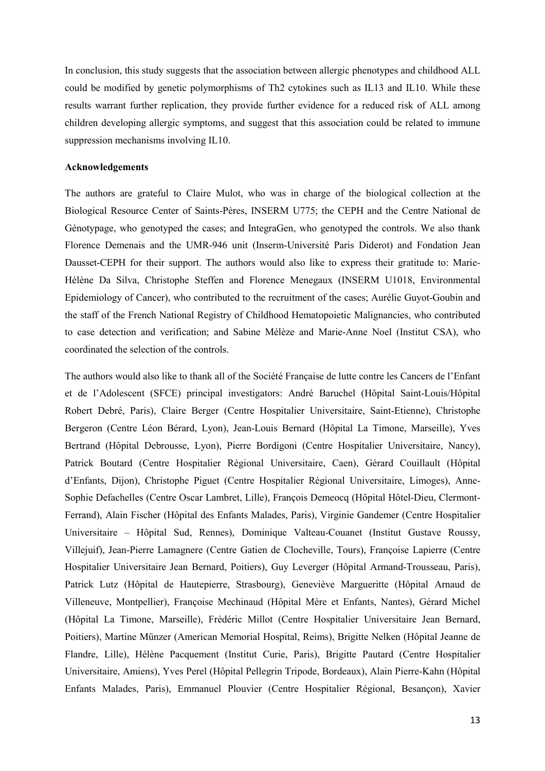In conclusion, this study suggests that the association between allergic phenotypes and childhood ALL could be modified by genetic polymorphisms of Th2 cytokines such as IL13 and IL10. While these results warrant further replication, they provide further evidence for a reduced risk of ALL among children developing allergic symptoms, and suggest that this association could be related to immune suppression mechanisms involving IL10.

#### **Acknowledgements**

The authors are grateful to Claire Mulot, who was in charge of the biological collection at the Biological Resource Center of Saints-Pères, INSERM U775; the CEPH and the Centre National de Génotypage, who genotyped the cases; and IntegraGen, who genotyped the controls. We also thank Florence Demenais and the UMR-946 unit (Inserm-Université Paris Diderot) and Fondation Jean Dausset-CEPH for their support. The authors would also like to express their gratitude to: Marie-Hélène Da Silva, Christophe Steffen and Florence Menegaux (INSERM U1018, Environmental Epidemiology of Cancer), who contributed to the recruitment of the cases; Aurélie Guyot-Goubin and the staff of the French National Registry of Childhood Hematopoietic Malignancies, who contributed to case detection and verification; and Sabine Mélèze and Marie-Anne Noel (Institut CSA), who coordinated the selection of the controls.

The authors would also like to thank all of the Société Française de lutte contre les Cancers de l'Enfant et de l'Adolescent (SFCE) principal investigators: André Baruchel (Hôpital Saint-Louis/Hôpital Robert Debré, Paris), Claire Berger (Centre Hospitalier Universitaire, Saint-Etienne), Christophe Bergeron (Centre Léon Bérard, Lyon), Jean-Louis Bernard (Hôpital La Timone, Marseille), Yves Bertrand (Hôpital Debrousse, Lyon), Pierre Bordigoni (Centre Hospitalier Universitaire, Nancy), Patrick Boutard (Centre Hospitalier Régional Universitaire, Caen), Gérard Couillault (Hôpital d'Enfants, Dijon), Christophe Piguet (Centre Hospitalier Régional Universitaire, Limoges), Anne-Sophie Defachelles (Centre Oscar Lambret, Lille), François Demeocq (Hôpital Hôtel-Dieu, Clermont-Ferrand), Alain Fischer (Hôpital des Enfants Malades, Paris), Virginie Gandemer (Centre Hospitalier Universitaire – Hôpital Sud, Rennes), Dominique Valteau-Couanet (Institut Gustave Roussy, Villejuif), Jean-Pierre Lamagnere (Centre Gatien de Clocheville, Tours), Françoise Lapierre (Centre Hospitalier Universitaire Jean Bernard, Poitiers), Guy Leverger (Hôpital Armand-Trousseau, Paris), Patrick Lutz (Hôpital de Hautepierre, Strasbourg), Geneviève Margueritte (Hôpital Arnaud de Villeneuve, Montpellier), Françoise Mechinaud (Hôpital Mère et Enfants, Nantes), Gérard Michel (Hôpital La Timone, Marseille), Frédéric Millot (Centre Hospitalier Universitaire Jean Bernard, Poitiers), Martine Münzer (American Memorial Hospital, Reims), Brigitte Nelken (Hôpital Jeanne de Flandre, Lille), Hélène Pacquement (Institut Curie, Paris), Brigitte Pautard (Centre Hospitalier Universitaire, Amiens), Yves Perel (Hôpital Pellegrin Tripode, Bordeaux), Alain Pierre-Kahn (Hôpital Enfants Malades, Paris), Emmanuel Plouvier (Centre Hospitalier Régional, Besançon), Xavier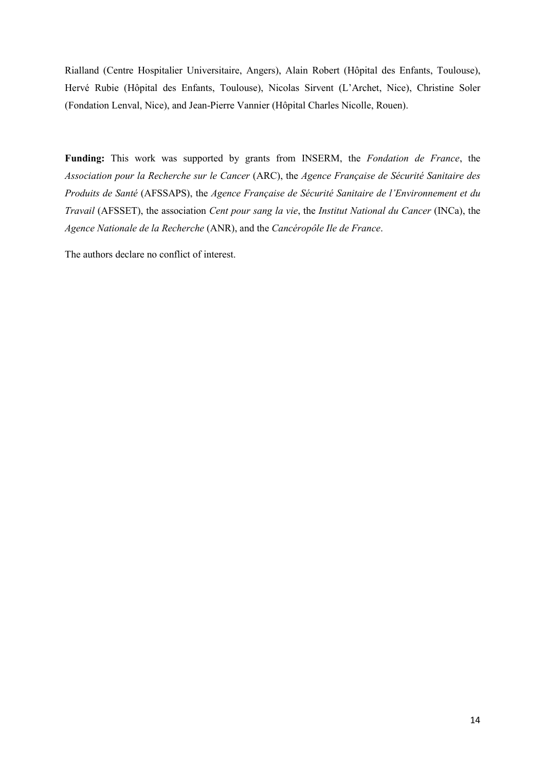Rialland (Centre Hospitalier Universitaire, Angers), Alain Robert (Hôpital des Enfants, Toulouse), Hervé Rubie (Hôpital des Enfants, Toulouse), Nicolas Sirvent (L'Archet, Nice), Christine Soler (Fondation Lenval, Nice), and Jean-Pierre Vannier (Hôpital Charles Nicolle, Rouen).

**Funding:** This work was supported by grants from INSERM, the *Fondation de France*, the *Association pour la Recherche sur le Cancer* (ARC), the *Agence Française de Sécurité Sanitaire des Produits de Santé* (AFSSAPS), the *Agence Française de Sécurité Sanitaire de l'Environnement et du Travail* (AFSSET), the association *Cent pour sang la vie*, the *Institut National du Cancer* (INCa), the *Agence Nationale de la Recherche* (ANR), and the *Cancéropôle Ile de France*.

The authors declare no conflict of interest.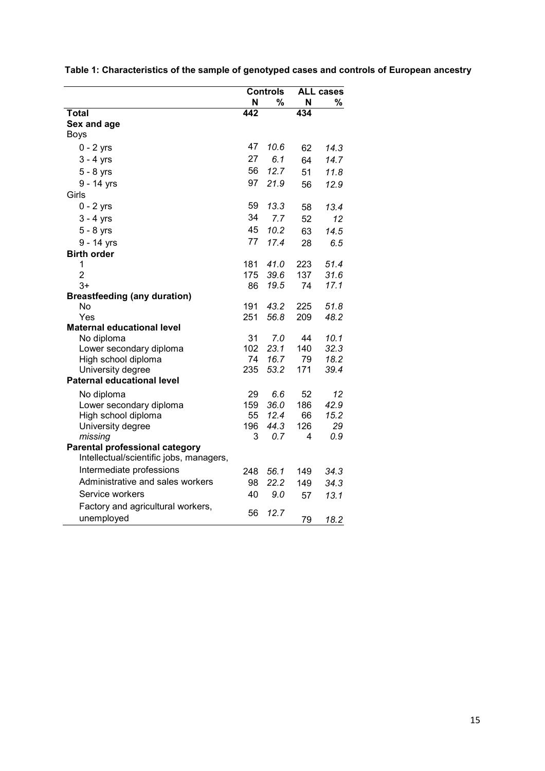|                                          |           | <b>Controls</b> | <b>ALL cases</b> |              |  |
|------------------------------------------|-----------|-----------------|------------------|--------------|--|
|                                          | N         | %               | N                | %            |  |
| <b>Total</b>                             | 442       |                 | 434              |              |  |
| Sex and age                              |           |                 |                  |              |  |
| Boys                                     |           |                 |                  |              |  |
| $0 - 2$ yrs                              | 47        | 10.6            | 62               | 14.3         |  |
| $3 - 4$ yrs                              | 27        | 6.1             | 64               | 14.7         |  |
| $5 - 8$ yrs                              | 56        | 12.7            | 51               | 11.8         |  |
| 9 - 14 yrs                               | 97        | 21.9            | 56               | 12.9         |  |
| Girls                                    |           |                 |                  |              |  |
| $0 - 2$ yrs                              | 59        | 13.3            | 58               | 13.4         |  |
| $3 - 4$ yrs                              | 34        | 7.7             | 52               | 12           |  |
| $5 - 8$ yrs                              | 45        | 10.2            | 63               | 14.5         |  |
| 9 - 14 yrs                               | 77        | 17.4            | 28               | 6.5          |  |
| <b>Birth order</b>                       |           |                 |                  |              |  |
| 1                                        | 181       | 41.0            | 223              | 51.4         |  |
| $\overline{2}$                           | 175       | 39.6            | 137              | 31.6         |  |
| $3+$                                     | 86        | 19.5            | 74               | 17.1         |  |
| <b>Breastfeeding (any duration)</b>      |           |                 |                  |              |  |
| No                                       | 191       | 43.2            | 225              | 51.8         |  |
| Yes                                      | 251       | 56.8            | 209              | 48.2         |  |
| <b>Maternal educational level</b>        |           |                 |                  |              |  |
| No diploma                               | 31        | 7.0             | 44               | 10.1         |  |
| Lower secondary diploma                  | 102<br>74 | 23.1<br>16.7    | 140              | 32.3         |  |
| High school diploma<br>University degree | 235       | 53.2            | 79<br>171        | 18.2<br>39.4 |  |
| <b>Paternal educational level</b>        |           |                 |                  |              |  |
|                                          |           |                 |                  |              |  |
| No diploma                               | 29        | 6.6             | 52               | 12           |  |
| Lower secondary diploma                  | 159       | 36.0            | 186              | 42.9         |  |
| High school diploma                      | 55        | 12.4            | 66               | 15.2         |  |
| University degree                        | 196       | 44.3            | 126              | 29           |  |
| missing                                  | 3         | 0.7             | 4                | 0.9          |  |
| <b>Parental professional category</b>    |           |                 |                  |              |  |
| Intellectual/scientific jobs, managers,  |           |                 |                  |              |  |
| Intermediate professions                 | 248       | 56.1            | 149              | 34.3         |  |
| Administrative and sales workers         | 98        | 22.2            | 149              | 34.3         |  |
| Service workers                          | 40        | 9.0             | 57               | 13.1         |  |
| Factory and agricultural workers,        | 56        | 12.7            |                  |              |  |
| unemployed                               |           |                 | 79               | 18.2         |  |

**Table 1: Characteristics of the sample of genotyped cases and controls of European ancestry**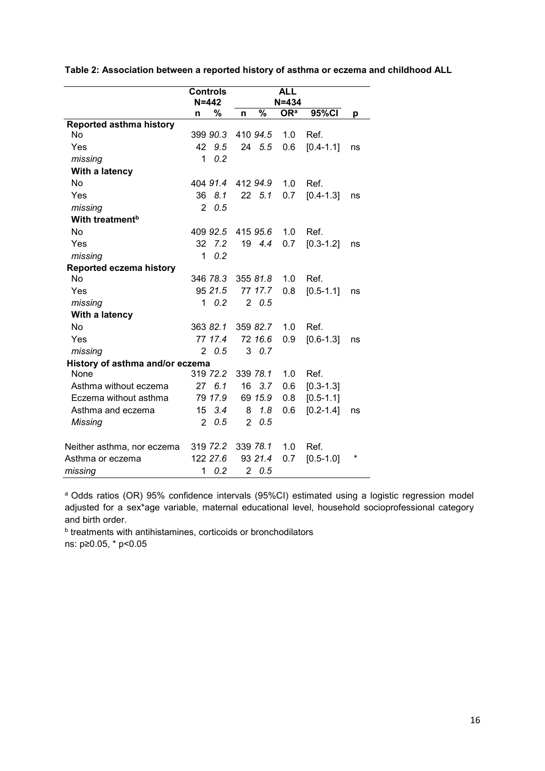|                                 | <b>Controls</b><br>$N = 442$ |          |                |          |                              |               |         |
|---------------------------------|------------------------------|----------|----------------|----------|------------------------------|---------------|---------|
|                                 | n                            | %        | n              | %        | $N = 434$<br>OR <sup>a</sup> | 95%CI         | р       |
| <b>Reported asthma history</b>  |                              |          |                |          |                              |               |         |
| No                              |                              | 399 90.3 |                | 410 94.5 | 1.0                          | Ref.          |         |
| Yes                             |                              | 42 9.5   |                | 24 5.5   | 0.6                          | $[0.4 - 1.1]$ | ns      |
| missing                         | 1                            | 0.2      |                |          |                              |               |         |
| With a latency                  |                              |          |                |          |                              |               |         |
| <b>No</b>                       |                              | 404 91.4 |                | 412 94.9 | 1.0                          | Ref.          |         |
| Yes                             | 36                           | 8.1      |                | 22 5.1   | 0.7                          | $[0.4 - 1.3]$ | ns      |
| missing                         | $\overline{2}$               | 0.5      |                |          |                              |               |         |
| With treatment <sup>b</sup>     |                              |          |                |          |                              |               |         |
| No                              |                              | 409 92.5 |                | 415 95.6 | 1.0                          | Ref.          |         |
| Yes                             | 32                           | 7.2      | 19             | 4.4      | 0.7                          | $[0.3 - 1.2]$ | ns      |
| missing                         | 1                            | 0.2      |                |          |                              |               |         |
| <b>Reported eczema history</b>  |                              |          |                |          |                              |               |         |
| <b>No</b>                       |                              | 346 78.3 |                | 355 81.8 | 1.0                          | Ref.          |         |
| Yes                             |                              | 95 21.5  |                | 77 17.7  | 0.8                          | $[0.5 - 1.1]$ | ns      |
| missing                         |                              | 10.2     |                | 20.5     |                              |               |         |
| With a latency                  |                              |          |                |          |                              |               |         |
| No                              |                              | 363 82.1 |                | 359 82.7 | 1.0                          | Ref.          |         |
| Yes                             |                              | 77 17.4  |                | 72 16.6  | 0.9                          | $[0.6 - 1.3]$ | ns      |
| missing                         |                              | 20.5     |                | 30.7     |                              |               |         |
| History of asthma and/or eczema |                              |          |                |          |                              |               |         |
| None                            |                              | 319 72.2 |                | 339 78.1 | 1.0                          | Ref.          |         |
| Asthma without eczema           | 27                           | 6.1      |                | 16 3.7   | 0.6                          | $[0.3 - 1.3]$ |         |
| Eczema without asthma           |                              | 79 17.9  |                | 69 15.9  | 0.8                          | $[0.5 - 1.1]$ |         |
| Asthma and eczema               | 15                           | 3.4      | 8              | 1.8      | 0.6                          | $[0.2 - 1.4]$ | ns      |
| Missing                         | $\overline{2}$               | 0.5      | $\overline{2}$ | 0.5      |                              |               |         |
| Neither asthma, nor eczema      |                              | 319 72.2 |                | 339 78.1 | 1.0                          | Ref.          |         |
| Asthma or eczema                |                              | 122 27.6 |                | 93 21.4  | 0.7                          | $[0.5 - 1.0]$ | $\star$ |
| missing                         | 1                            | 0.2      | $\overline{2}$ | 0.5      |                              |               |         |

**Table 2: Association between a reported history of asthma or eczema and childhood ALL** 

a Odds ratios (OR) 95% confidence intervals (95%CI) estimated using a logistic regression model adjusted for a sex\*age variable, maternal educational level, household socioprofessional category and birth order.

**b** treatments with antihistamines, corticoids or bronchodilators ns: p≥0.05, \* p<0.05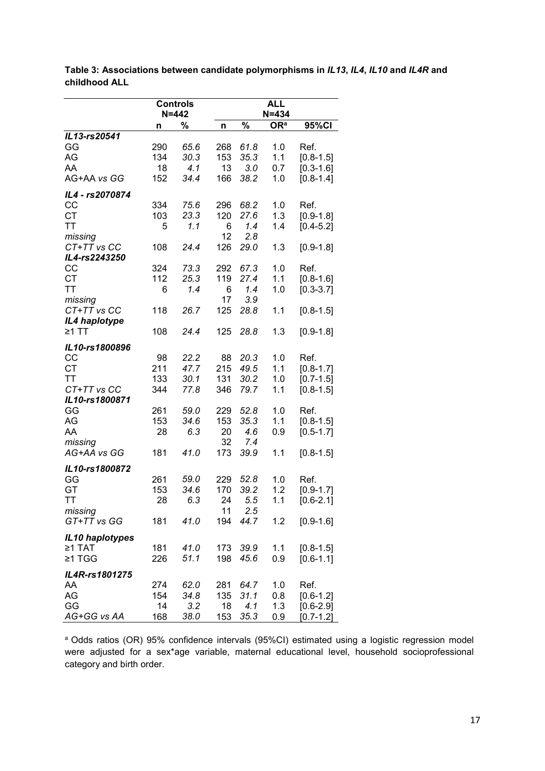|                 |     | <b>Controls</b><br>$N = 442$ | ALL<br>$N = 434$ |               |                 |               |  |
|-----------------|-----|------------------------------|------------------|---------------|-----------------|---------------|--|
|                 | n   | %                            | n                | $\frac{1}{6}$ | OR <sup>a</sup> | 95%CI         |  |
| IL13-rs20541    |     |                              |                  |               |                 |               |  |
| GG              | 290 | 65.6                         | 268              | 61.8          | 1.0             | Ref.          |  |
| AG              | 134 | 30.3                         | 153              | 35.3          | 1.1             | $[0.8 - 1.5]$ |  |
| AA              | 18  | 4.1                          | 13               | 3.0           | 0.7             | $[0.3 - 1.6]$ |  |
| AG+AA vs GG     | 152 | 34.4                         | 166              | 38.2          | 1.0             | $[0.8 - 1.4]$ |  |
| IL4 - rs2070874 |     |                              |                  |               |                 |               |  |
| СC              | 334 | 75.6                         | 296              | 68.2          | 1.0             | Ref.          |  |
| <b>CT</b>       | 103 | 23.3                         | 120              | 27.6          | 1.3             | $[0.9 - 1.8]$ |  |
| TΤ              | 5   | 1.1                          | 6                | 1.4           | 1.4             | $[0.4 - 5.2]$ |  |
| missing         |     |                              | 12               | 2.8           |                 |               |  |
| CT+TT vs CC     | 108 | 24.4                         | 126              | 29.0          | 1.3             | $[0.9 - 1.8]$ |  |
| IL4-rs2243250   |     |                              |                  |               |                 |               |  |
| СC              | 324 | 73.3                         | 292              | 67.3          | 1.0             | Ref.          |  |
| <b>CT</b>       | 112 | 25.3                         | 119              | 27.4          | 1.1             | $[0.8 - 1.6]$ |  |
| TΤ              | 6   | 1.4                          | 6                | 1.4           | 1.0             | $[0.3 - 3.7]$ |  |
| missing         |     |                              | 17               | 3.9           |                 |               |  |
| CT+TT vs CC     | 118 | 26.7                         | 125              | 28.8          | 1.1             | $[0.8 - 1.5]$ |  |
| IL4 haplotype   |     |                              |                  |               |                 |               |  |
| ≥1 TT           | 108 | 24.4                         | 125              | 28.8          | 1.3             | $[0.9 - 1.8]$ |  |
| IL10-rs1800896  |     |                              |                  |               |                 |               |  |
| CС              | 98  | 22.2                         | 88               | 20.3          | 1.0             | Ref.          |  |
| <b>CT</b>       | 211 | 47.7                         | 215              | 49.5          | 1.1             | $[0.8 - 1.7]$ |  |
| <b>TT</b>       | 133 | 30.1                         | 131              | 30.2          | 1.0             | $[0.7 - 1.5]$ |  |
| CT+TT vs CC     | 344 | 77.8                         | 346              | 79.7          | 1.1             | $[0.8 - 1.5]$ |  |
| IL10-rs1800871  |     |                              |                  |               |                 |               |  |
| GG              | 261 | 59.0                         | 229              | 52.8          | 1.0             | Ref.          |  |
| AG              | 153 | 34.6                         | 153              | 35.3          | 1.1             | $[0.8 - 1.5]$ |  |
| AA              | 28  | 6.3                          | 20               | 4.6           | 0.9             | $[0.5 - 1.7]$ |  |
| missing         |     |                              | 32               | 7.4           |                 |               |  |
| AG+AA vs GG     | 181 | 41.0                         | 173              | 39.9          | 1.1             | $[0.8 - 1.5]$ |  |
| IL10-rs1800872  |     |                              |                  |               |                 |               |  |
| GG              | 261 | 59.0                         | 229              | 52.8          | 1.0             | Ref.          |  |
| GT              | 153 | 34.6                         | 170              | 39.2          | 1.2             | $[0.9 - 1.7]$ |  |
| ΤT              | 28  | 6.3                          | 24               | 5.5           | 1.1             | $[0.6 - 2.1]$ |  |
| missing         |     |                              | 11               | 2.5           |                 |               |  |
| GT+TT vs GG     | 181 | 41.0                         | 194              | 44.7          | 1.2             | $[0.9 - 1.6]$ |  |
| IL10 haplotypes |     |                              |                  |               |                 |               |  |
| $≥1$ TAT        | 181 | 41.0                         | 173              | 39.9          | 1.1             | $[0.8 - 1.5]$ |  |
| $≥1$ TGG        | 226 | 51.1                         | 198              | 45.6          | 0.9             | $[0.6 - 1.1]$ |  |
| IL4R-rs1801275  |     |                              |                  |               |                 |               |  |
| AA              | 274 | 62.0                         | 281              | 64.7          | 1.0             | Ref.          |  |
| AG              | 154 | 34.8                         | 135              | 31.1          | 0.8             | $[0.6 - 1.2]$ |  |
| GG              | 14  | 3.2                          | 18               | 4.1           | 1.3             | $[0.6 - 2.9]$ |  |
| AG+GG vs AA     | 168 | 38.0                         | 153              | 35.3          | 0.9             | $[0.7 - 1.2]$ |  |

**Table 3: Associations between candidate polymorphisms in** *IL13***,** *IL4***,** *IL10* **and** *IL4R* **and childhood ALL** 

<sup>a</sup> Odds ratios (OR) 95% confidence intervals (95%CI) estimated using a logistic regression model were adjusted for a sex\*age variable, maternal educational level, household socioprofessional category and birth order.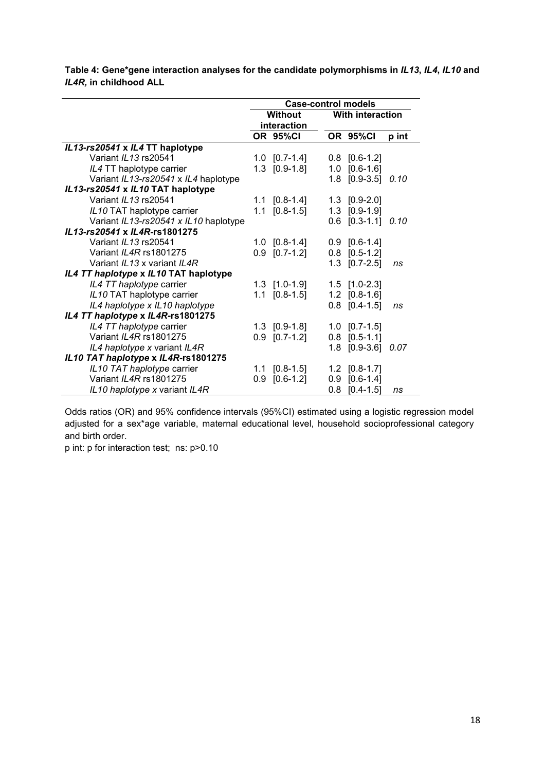**Table 4: Gene\*gene interaction analyses for the candidate polymorphisms in** *IL13***,** *IL4***,** *IL10* **and**  *IL4R,* **in childhood ALL** 

|                                       | <b>Case-control models</b> |                   |     |                         |       |  |  |
|---------------------------------------|----------------------------|-------------------|-----|-------------------------|-------|--|--|
|                                       |                            | Without           |     | <b>With interaction</b> |       |  |  |
|                                       |                            | interaction       |     |                         |       |  |  |
|                                       |                            | <b>OR 95%CI</b>   |     | <b>OR 95%CI</b>         | p int |  |  |
| IL13-rs20541 x IL4 TT haplotype       |                            |                   |     |                         |       |  |  |
| Variant IL13 rs20541                  |                            | $1.0$ [0.7-1.4]   |     | $0.8$ [0.6-1.2]         |       |  |  |
| IL4 TT haplotype carrier              |                            | $1.3$ [0.9-1.8]   |     | $1.0$ [0.6-1.6]         |       |  |  |
| Variant IL13-rs20541 x IL4 haplotype  |                            |                   |     | $1.8$ [0.9-3.5]         | 0.10  |  |  |
| IL13-rs20541 x IL10 TAT haplotype     |                            |                   |     |                         |       |  |  |
| Variant IL13 rs20541                  |                            | $1.1$ $[0.8-1.4]$ |     | $1.3$ [0.9-2.0]         |       |  |  |
| IL10 TAT haplotype carrier            |                            | $1.1$ [0.8-1.5]   |     | $1.3$ [0.9-1.9]         |       |  |  |
| Variant IL13-rs20541 x IL10 haplotype |                            |                   |     | $0.6$ [0.3-1.1]         | 0.10  |  |  |
| IL13-rs20541 x IL4R-rs1801275         |                            |                   |     |                         |       |  |  |
| Variant IL13 rs20541                  |                            | $1.0$ [0.8-1.4]   |     | $0.9$ [0.6-1.4]         |       |  |  |
| Variant IL4R rs1801275                |                            | $0.9$ [0.7-1.2]   |     | $0.8$ [0.5-1.2]         |       |  |  |
| Variant IL13 x variant IL4R           |                            |                   |     | $1.3$ [0.7-2.5]         | ns    |  |  |
| IL4 TT haplotype x IL10 TAT haplotype |                            |                   |     |                         |       |  |  |
| IL4 TT haplotype carrier              |                            | $1.3$ [1.0-1.9]   |     | $1.5$ [1.0-2.3]         |       |  |  |
| IL10 TAT haplotype carrier            |                            | $1.1$ [0.8-1.5]   |     | $1.2$ [0.8-1.6]         |       |  |  |
| IL4 haplotype x IL10 haplotype        |                            |                   |     | $0.8$ [0.4-1.5]         | ns    |  |  |
| IL4 TT haplotype x IL4R-rs1801275     |                            |                   |     |                         |       |  |  |
| IL4 TT haplotype carrier              |                            | $1.3$ [0.9-1.8]   |     | $1.0$ [0.7-1.5]         |       |  |  |
| Variant IL4R rs1801275                | 0.9 <sup>°</sup>           | $[0.7 - 1.2]$     |     | $0.8$ [0.5-1.1]         |       |  |  |
| IL4 haplotype x variant IL4R          |                            |                   |     | $1.8$ [0.9-3.6]         | 0.07  |  |  |
| IL10 TAT haplotype x IL4R-rs1801275   |                            |                   |     |                         |       |  |  |
| IL10 TAT haplotype carrier            | 1.1                        | $[0.8-1.5]$       |     | $1.2$ [0.8-1.7]         |       |  |  |
| Variant IL4R rs1801275                |                            | $0.9$ $[0.6-1.2]$ | 0.9 | $[0.6 - 1.4]$           |       |  |  |
| IL10 haplotype x variant IL4R         |                            |                   | 0.8 | $[0.4 - 1.5]$           | ns    |  |  |

Odds ratios (OR) and 95% confidence intervals (95%CI) estimated using a logistic regression model adjusted for a sex\*age variable, maternal educational level, household socioprofessional category and birth order.

p int: p for interaction test; ns: p>0.10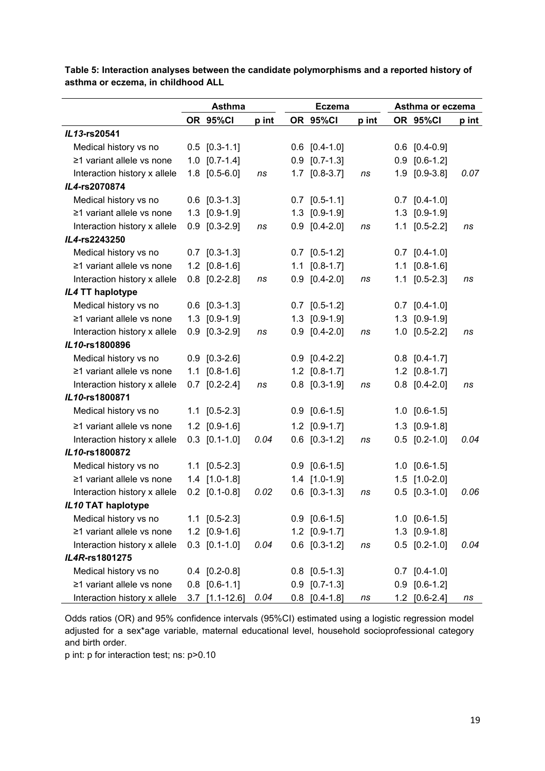|                                 | Asthma |                   | <b>Eczema</b> |  |                   | Asthma or eczema |     |                   |       |
|---------------------------------|--------|-------------------|---------------|--|-------------------|------------------|-----|-------------------|-------|
|                                 |        | <b>OR 95%CI</b>   | p int         |  | <b>OR 95%CI</b>   | p int            |     | <b>OR 95%CI</b>   | p int |
| IL13-rs20541                    |        |                   |               |  |                   |                  |     |                   |       |
| Medical history vs no           |        | $0.5$ [0.3-1.1]   |               |  | $0.6$ [0.4-1.0]   |                  |     | $0.6$ [0.4-0.9]   |       |
| $\geq$ 1 variant allele vs none |        | $1.0$ [0.7-1.4]   |               |  | $0.9$ $[0.7-1.3]$ |                  |     | $0.9$ $[0.6-1.2]$ |       |
| Interaction history x allele    |        | $1.8$ [0.5-6.0]   | ns            |  | $1.7$ [0.8-3.7]   | ns               |     | 1.9 [0.9-3.8]     | 0.07  |
| IL4-rs2070874                   |        |                   |               |  |                   |                  |     |                   |       |
| Medical history vs no           |        | $0.6$ [0.3-1.3]   |               |  | $0.7$ [0.5-1.1]   |                  |     | $0.7$ [0.4-1.0]   |       |
| $\geq$ 1 variant allele vs none |        | $1.3$ [0.9-1.9]   |               |  | $1.3$ [0.9-1.9]   |                  |     | $1.3$ [0.9-1.9]   |       |
| Interaction history x allele    |        | $0.9$ $[0.3-2.9]$ | ns            |  | $0.9$ $[0.4-2.0]$ | ns               |     | $1.1$ [0.5-2.2]   | ns    |
| IL4-rs2243250                   |        |                   |               |  |                   |                  |     |                   |       |
| Medical history vs no           |        | $0.7$ [0.3-1.3]   |               |  | $0.7$ [0.5-1.2]   |                  |     | $0.7$ [0.4-1.0]   |       |
| $\geq$ 1 variant allele vs none |        | $1.2$ [0.8-1.6]   |               |  | $1.1$ [0.8-1.7]   |                  | 1.1 | $[0.8 - 1.6]$     |       |
| Interaction history x allele    |        | $0.8$ [0.2-2.8]   | ns            |  | $0.9$ $[0.4-2.0]$ | ns               |     | $1.1$ [0.5-2.3]   | ns    |
| IL4 TT haplotype                |        |                   |               |  |                   |                  |     |                   |       |
| Medical history vs no           |        | $0.6$ [0.3-1.3]   |               |  | $0.7$ [0.5-1.2]   |                  |     | $0.7$ [0.4-1.0]   |       |
| $\geq$ 1 variant allele vs none |        | $1.3$ [0.9-1.9]   |               |  | $1.3$ [0.9-1.9]   |                  |     | $1.3$ [0.9-1.9]   |       |
| Interaction history x allele    |        | $0.9$ $[0.3-2.9]$ | ns            |  | $0.9$ $[0.4-2.0]$ | ns               |     | $1.0$ [0.5-2.2]   | ns    |
| IL10-rs1800896                  |        |                   |               |  |                   |                  |     |                   |       |
| Medical history vs no           |        | $0.9$ [0.3-2.6]   |               |  | $0.9$ $[0.4-2.2]$ |                  |     | $0.8$ [0.4-1.7]   |       |
| $\geq$ 1 variant allele vs none |        | $1.1$ [0.8-1.6]   |               |  | $1.2$ [0.8-1.7]   |                  |     | $1.2$ [0.8-1.7]   |       |
| Interaction history x allele    |        | $0.7$ [0.2-2.4]   | ns            |  | $0.8$ [0.3-1.9]   | ns               |     | $0.8$ [0.4-2.0]   | ns    |
| IL10-rs1800871                  |        |                   |               |  |                   |                  |     |                   |       |
| Medical history vs no           |        | $1.1$ [0.5-2.3]   |               |  | $0.9$ [0.6-1.5]   |                  |     | $1.0$ [0.6-1.5]   |       |
| $\geq$ 1 variant allele vs none |        | $1.2$ [0.9-1.6]   |               |  | $1.2$ [0.9-1.7]   |                  |     | $1.3$ [0.9-1.8]   |       |
| Interaction history x allele    |        | $0.3$ [0.1-1.0]   | 0.04          |  | $0.6$ [0.3-1.2]   | ns               |     | $0.5$ [0.2-1.0]   | 0.04  |
| IL10-rs1800872                  |        |                   |               |  |                   |                  |     |                   |       |
| Medical history vs no           |        | $1.1$ [0.5-2.3]   |               |  | $0.9$ [0.6-1.5]   |                  |     | $1.0$ $[0.6-1.5]$ |       |
| $\geq$ 1 variant allele vs none |        | $1.4$ [1.0-1.8]   |               |  | 1.4 [1.0-1.9]     |                  |     | $1.5$ [1.0-2.0]   |       |
| Interaction history x allele    |        | $0.2$ [0.1-0.8]   | 0.02          |  | $0.6$ [0.3-1.3]   | ns               |     | $0.5$ [0.3-1.0]   | 0.06  |
| IL10 TAT haplotype              |        |                   |               |  |                   |                  |     |                   |       |
| Medical history vs no           |        | $1.1$ [0.5-2.3]   |               |  | $0.9$ [0.6-1.5]   |                  |     | $1.0$ [0.6-1.5]   |       |
| ≥1 variant allele vs none       |        | $1.2$ [0.9-1.6]   |               |  | $1.2$ [0.9-1.7]   |                  |     | $1.3$ [0.9-1.8]   |       |
| Interaction history x allele    |        | $0.3$ [0.1-1.0]   | 0.04          |  | $0.6$ [0.3-1.2]   | ns               |     | $0.5$ [0.2-1.0]   | 0.04  |
| IL4R-rs1801275                  |        |                   |               |  |                   |                  |     |                   |       |
| Medical history vs no           |        | $0.4$ [0.2-0.8]   |               |  | $0.8$ [0.5-1.3]   |                  |     | $0.7$ [0.4-1.0]   |       |
| $\geq$ 1 variant allele vs none |        | $0.8$ [0.6-1.1]   |               |  | $0.9$ $[0.7-1.3]$ |                  |     | $0.9$ $[0.6-1.2]$ |       |
| Interaction history x allele    |        | 3.7 [1.1-12.6]    | 0.04          |  | $0.8$ [0.4-1.8]   | ns               |     | $1.2$ [0.6-2.4]   | ns    |

**Table 5: Interaction analyses between the candidate polymorphisms and a reported history of asthma or eczema, in childhood ALL** 

Odds ratios (OR) and 95% confidence intervals (95%CI) estimated using a logistic regression model adjusted for a sex\*age variable, maternal educational level, household socioprofessional category and birth order.

p int: p for interaction test; ns: p>0.10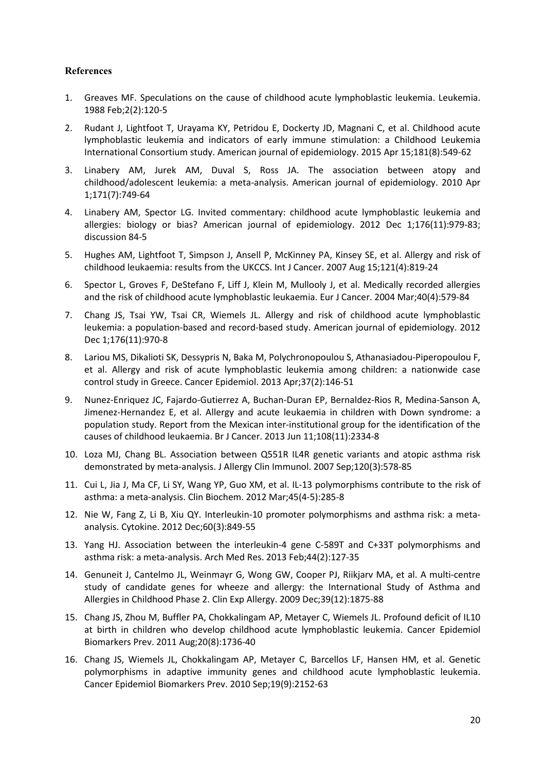# **References**

- 1. Greaves MF. Speculations on the cause of childhood acute lymphoblastic leukemia. Leukemia. 1988 Feb;2(2):120-5
- 2. Rudant J, Lightfoot T, Urayama KY, Petridou E, Dockerty JD, Magnani C, et al. Childhood acute lymphoblastic leukemia and indicators of early immune stimulation: a Childhood Leukemia International Consortium study. American journal of epidemiology. 2015 Apr 15;181(8):549-62
- 3. Linabery AM, Jurek AM, Duval S, Ross JA. The association between atopy and childhood/adolescent leukemia: a meta-analysis. American journal of epidemiology. 2010 Apr 1;171(7):749-64
- 4. Linabery AM, Spector LG. Invited commentary: childhood acute lymphoblastic leukemia and allergies: biology or bias? American journal of epidemiology. 2012 Dec 1;176(11):979-83; discussion 84-5
- 5. Hughes AM, Lightfoot T, Simpson J, Ansell P, McKinney PA, Kinsey SE, et al. Allergy and risk of childhood leukaemia: results from the UKCCS. Int J Cancer. 2007 Aug 15;121(4):819-24
- 6. Spector L, Groves F, DeStefano F, Liff J, Klein M, Mullooly J, et al. Medically recorded allergies and the risk of childhood acute lymphoblastic leukaemia. Eur J Cancer. 2004 Mar;40(4):579-84
- 7. Chang JS, Tsai YW, Tsai CR, Wiemels JL. Allergy and risk of childhood acute lymphoblastic leukemia: a population-based and record-based study. American journal of epidemiology. 2012 Dec 1;176(11):970-8
- 8. Lariou MS, Dikalioti SK, Dessypris N, Baka M, Polychronopoulou S, Athanasiadou-Piperopoulou F, et al. Allergy and risk of acute lymphoblastic leukemia among children: a nationwide case control study in Greece. Cancer Epidemiol. 2013 Apr;37(2):146-51
- 9. Nunez-Enriquez JC, Fajardo-Gutierrez A, Buchan-Duran EP, Bernaldez-Rios R, Medina-Sanson A, Jimenez-Hernandez E, et al. Allergy and acute leukaemia in children with Down syndrome: a population study. Report from the Mexican inter-institutional group for the identification of the causes of childhood leukaemia. Br J Cancer. 2013 Jun 11;108(11):2334-8
- 10. Loza MJ, Chang BL. Association between Q551R IL4R genetic variants and atopic asthma risk demonstrated by meta-analysis. J Allergy Clin Immunol. 2007 Sep;120(3):578-85
- 11. Cui L, Jia J, Ma CF, Li SY, Wang YP, Guo XM, et al. IL-13 polymorphisms contribute to the risk of asthma: a meta-analysis. Clin Biochem. 2012 Mar;45(4-5):285-8
- 12. Nie W, Fang Z, Li B, Xiu QY. Interleukin-10 promoter polymorphisms and asthma risk: a metaanalysis. Cytokine. 2012 Dec;60(3):849-55
- 13. Yang HJ. Association between the interleukin-4 gene C-589T and C+33T polymorphisms and asthma risk: a meta-analysis. Arch Med Res. 2013 Feb;44(2):127-35
- 14. Genuneit J, Cantelmo JL, Weinmayr G, Wong GW, Cooper PJ, Riikjarv MA, et al. A multi-centre study of candidate genes for wheeze and allergy: the International Study of Asthma and Allergies in Childhood Phase 2. Clin Exp Allergy. 2009 Dec;39(12):1875-88
- 15. Chang JS, Zhou M, Buffler PA, Chokkalingam AP, Metayer C, Wiemels JL. Profound deficit of IL10 at birth in children who develop childhood acute lymphoblastic leukemia. Cancer Epidemiol Biomarkers Prev. 2011 Aug;20(8):1736-40
- 16. Chang JS, Wiemels JL, Chokkalingam AP, Metayer C, Barcellos LF, Hansen HM, et al. Genetic polymorphisms in adaptive immunity genes and childhood acute lymphoblastic leukemia. Cancer Epidemiol Biomarkers Prev. 2010 Sep;19(9):2152-63